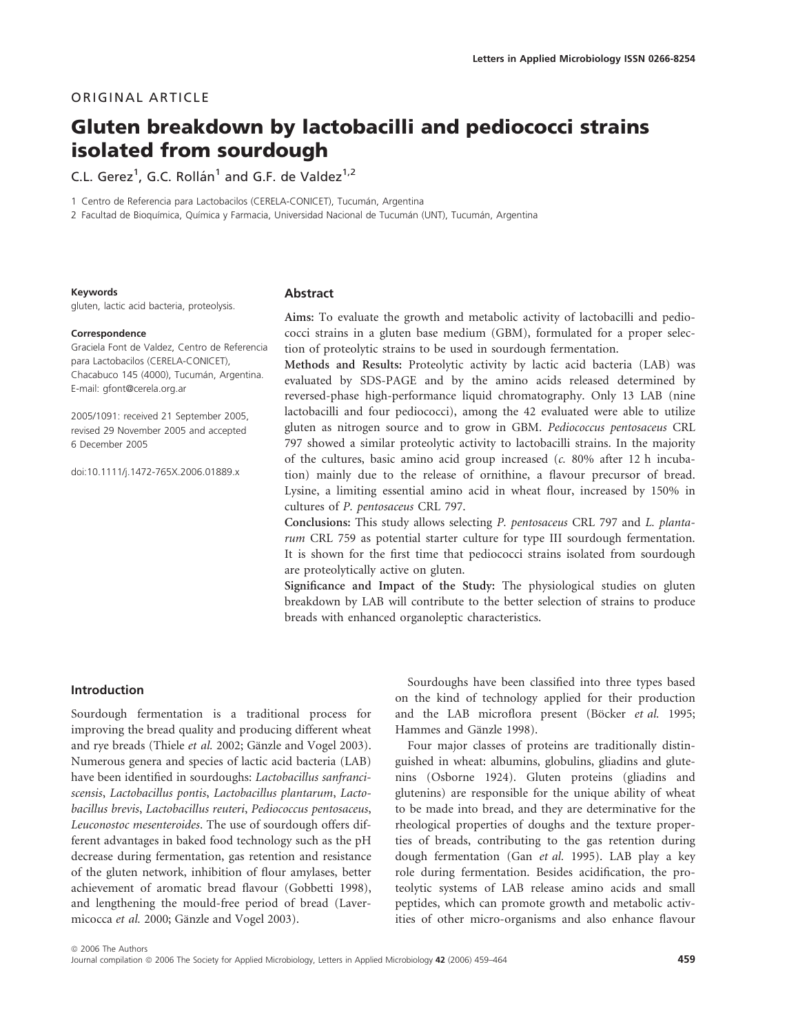# ORIGINAL ARTICLE

# Gluten breakdown by lactobacilli and pediococci strains isolated from sourdough

C.L. Gerez<sup>1</sup>, G.C. Rollán<sup>1</sup> and G.F. de Valdez<sup>1,2</sup>

1 Centro de Referencia para Lactobacilos (CERELA-CONICET), Tucumán, Argentina

2 Facultad de Bioquímica, Química y Farmacia, Universidad Nacional de Tucumán (UNT), Tucumán, Argentina

#### Keywords

gluten, lactic acid bacteria, proteolysis.

#### **Correspondence**

Graciela Font de Valdez, Centro de Referencia para Lactobacilos (CERELA-CONICET), Chacabuco 145 (4000), Tucumán, Argentina. E-mail: gfont@cerela.org.ar

2005/1091: received 21 September 2005, revised 29 November 2005 and accepted 6 December 2005

doi:10.1111/j.1472-765X.2006.01889.x

## Abstract

Aims: To evaluate the growth and metabolic activity of lactobacilli and pediococci strains in a gluten base medium (GBM), formulated for a proper selection of proteolytic strains to be used in sourdough fermentation.

Methods and Results: Proteolytic activity by lactic acid bacteria (LAB) was evaluated by SDS-PAGE and by the amino acids released determined by reversed-phase high-performance liquid chromatography. Only 13 LAB (nine lactobacilli and four pediococci), among the 42 evaluated were able to utilize gluten as nitrogen source and to grow in GBM. Pediococcus pentosaceus CRL 797 showed a similar proteolytic activity to lactobacilli strains. In the majority of the cultures, basic amino acid group increased (c. 80% after 12 h incubation) mainly due to the release of ornithine, a flavour precursor of bread. Lysine, a limiting essential amino acid in wheat flour, increased by 150% in cultures of P. pentosaceus CRL 797.

Conclusions: This study allows selecting P. pentosaceus CRL 797 and L. plantarum CRL 759 as potential starter culture for type III sourdough fermentation. It is shown for the first time that pediococci strains isolated from sourdough are proteolytically active on gluten.

Significance and Impact of the Study: The physiological studies on gluten breakdown by LAB will contribute to the better selection of strains to produce breads with enhanced organoleptic characteristics.

# Introduction

Sourdough fermentation is a traditional process for improving the bread quality and producing different wheat and rye breads (Thiele et al. 2002; Gänzle and Vogel 2003). Numerous genera and species of lactic acid bacteria (LAB) have been identified in sourdoughs: Lactobacillus sanfranciscensis, Lactobacillus pontis, Lactobacillus plantarum, Lactobacillus brevis, Lactobacillus reuteri, Pediococcus pentosaceus, Leuconostoc mesenteroides. The use of sourdough offers different advantages in baked food technology such as the pH decrease during fermentation, gas retention and resistance of the gluten network, inhibition of flour amylases, better achievement of aromatic bread flavour (Gobbetti 1998), and lengthening the mould-free period of bread (Lavermicocca et al. 2000; Gänzle and Vogel 2003).

Sourdoughs have been classified into three types based on the kind of technology applied for their production and the LAB microflora present (Böcker et al. 1995; Hammes and Gänzle 1998).

Four major classes of proteins are traditionally distinguished in wheat: albumins, globulins, gliadins and glutenins (Osborne 1924). Gluten proteins (gliadins and glutenins) are responsible for the unique ability of wheat to be made into bread, and they are determinative for the rheological properties of doughs and the texture properties of breads, contributing to the gas retention during dough fermentation (Gan et al. 1995). LAB play a key role during fermentation. Besides acidification, the proteolytic systems of LAB release amino acids and small peptides, which can promote growth and metabolic activities of other micro-organisms and also enhance flavour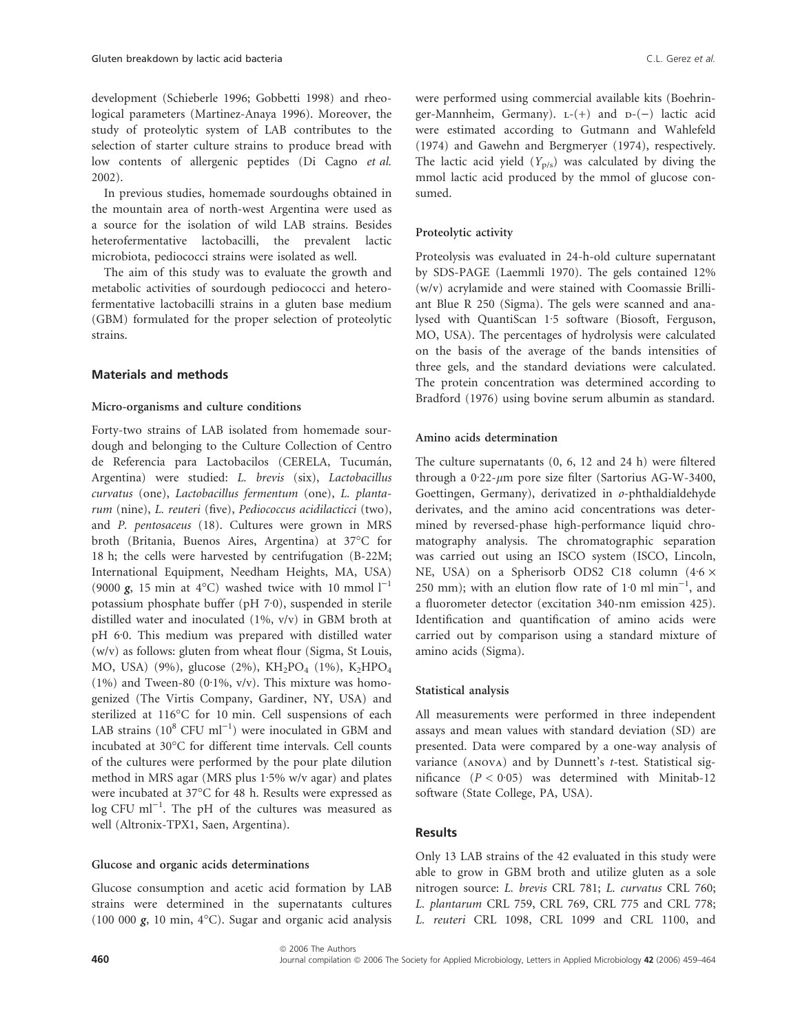development (Schieberle 1996; Gobbetti 1998) and rheological parameters (Martinez-Anaya 1996). Moreover, the study of proteolytic system of LAB contributes to the selection of starter culture strains to produce bread with low contents of allergenic peptides (Di Cagno et al. 2002).

In previous studies, homemade sourdoughs obtained in the mountain area of north-west Argentina were used as a source for the isolation of wild LAB strains. Besides heterofermentative lactobacilli, the prevalent lactic microbiota, pediococci strains were isolated as well.

The aim of this study was to evaluate the growth and metabolic activities of sourdough pediococci and heterofermentative lactobacilli strains in a gluten base medium (GBM) formulated for the proper selection of proteolytic strains.

# Materials and methods

## Micro-organisms and culture conditions

Forty-two strains of LAB isolated from homemade sourdough and belonging to the Culture Collection of Centro de Referencia para Lactobacilos (CERELA, Tucumán, Argentina) were studied: L. brevis (six), Lactobacillus curvatus (one), Lactobacillus fermentum (one), L. plantarum (nine), L. reuteri (five), Pediococcus acidilacticci (two), and P. pentosaceus (18). Cultures were grown in MRS broth (Britania, Buenos Aires, Argentina) at 37°C for 18 h; the cells were harvested by centrifugation (B-22M; International Equipment, Needham Heights, MA, USA) (9000 g, 15 min at 4 $^{\circ}$ C) washed twice with 10 mmol  $1^{-1}$ potassium phosphate buffer (pH 7·0), suspended in sterile distilled water and inoculated (1%, v/v) in GBM broth at pH 6.0. This medium was prepared with distilled water (w/v) as follows: gluten from wheat flour (Sigma, St Louis, MO, USA) (9%), glucose (2%), KH<sub>2</sub>PO<sub>4</sub> (1%), K<sub>2</sub>HPO<sub>4</sub> (1%) and Tween-80 (0·1%, v/v). This mixture was homogenized (The Virtis Company, Gardiner, NY, USA) and sterilized at 116°C for 10 min. Cell suspensions of each LAB strains  $(10^8 \text{ CFU ml}^{-1})$  were inoculated in GBM and incubated at 30°C for different time intervals. Cell counts of the cultures were performed by the pour plate dilution method in MRS agar (MRS plus  $1.5\%$  w/v agar) and plates were incubated at 37°C for 48 h. Results were expressed as  $\log$  CFU ml<sup>-1</sup>. The pH of the cultures was measured as well (Altronix-TPX1, Saen, Argentina).

## Glucose and organic acids determinations

Glucose consumption and acetic acid formation by LAB strains were determined in the supernatants cultures (100 000  $g$ , 10 min, 4°C). Sugar and organic acid analysis were performed using commercial available kits (Boehringer-Mannheim, Germany).  $L-(+)$  and  $D-(-)$  lactic acid were estimated according to Gutmann and Wahlefeld (1974) and Gawehn and Bergmeryer (1974), respectively. The lactic acid yield  $(Y_{p/s})$  was calculated by diving the mmol lactic acid produced by the mmol of glucose consumed.

#### Proteolytic activity

Proteolysis was evaluated in 24-h-old culture supernatant by SDS-PAGE (Laemmli 1970). The gels contained 12% (w/v) acrylamide and were stained with Coomassie Brilliant Blue R 250 (Sigma). The gels were scanned and analysed with QuantiScan 1.5 software (Biosoft, Ferguson, MO, USA). The percentages of hydrolysis were calculated on the basis of the average of the bands intensities of three gels, and the standard deviations were calculated. The protein concentration was determined according to Bradford (1976) using bovine serum albumin as standard.

#### Amino acids determination

The culture supernatants (0, 6, 12 and 24 h) were filtered through a  $0.22$ - $\mu$ m pore size filter (Sartorius AG-W-3400, Goettingen, Germany), derivatized in o-phthaldialdehyde derivates, and the amino acid concentrations was determined by reversed-phase high-performance liquid chromatography analysis. The chromatographic separation was carried out using an ISCO system (ISCO, Lincoln, NE, USA) on a Spherisorb ODS2 C18 column  $(4.6 \times$ 250 mm); with an elution flow rate of  $1.0$  ml  $min^{-1}$ , and a fluorometer detector (excitation 340-nm emission 425). Identification and quantification of amino acids were carried out by comparison using a standard mixture of amino acids (Sigma).

#### Statistical analysis

All measurements were performed in three independent assays and mean values with standard deviation (SD) are presented. Data were compared by a one-way analysis of variance (anova) and by Dunnett's t-test. Statistical significance  $(P < 0.05)$  was determined with Minitab-12 software (State College, PA, USA).

# Results

Only 13 LAB strains of the 42 evaluated in this study were able to grow in GBM broth and utilize gluten as a sole nitrogen source: L. brevis CRL 781; L. curvatus CRL 760; L. plantarum CRL 759, CRL 769, CRL 775 and CRL 778; L. reuteri CRL 1098, CRL 1099 and CRL 1100, and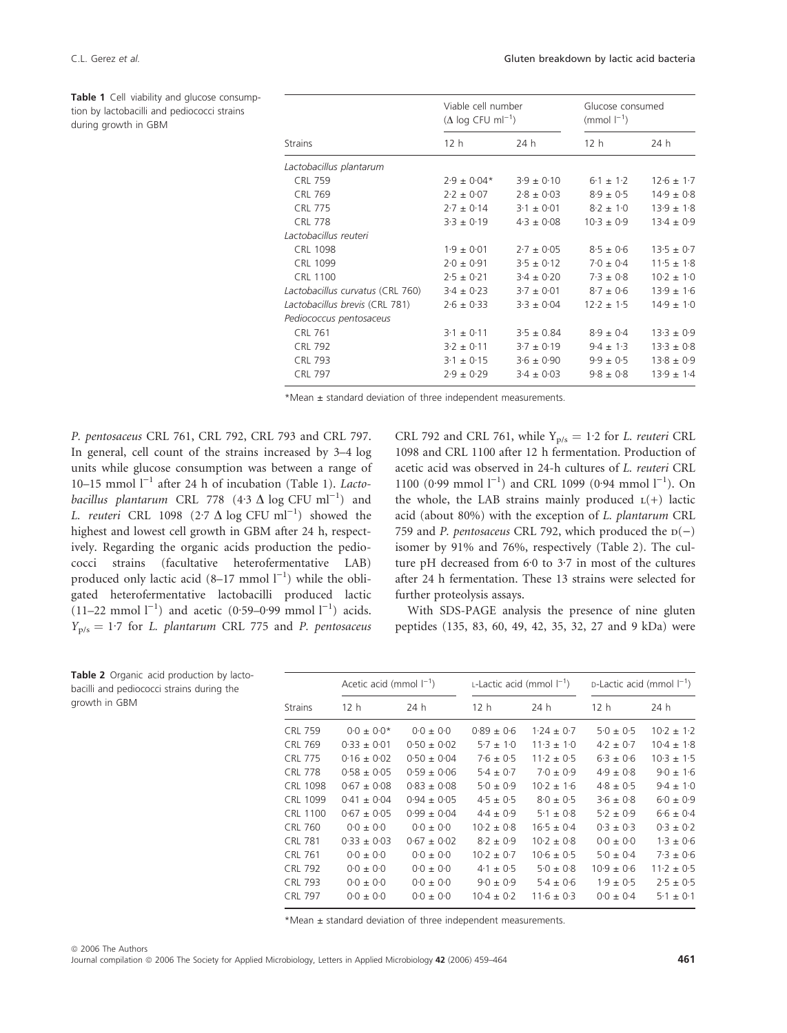during growth in GBM

Table 1 Cell viability and glucose consumption by lactobacilli and pediococci strains

C.L. Gerez et al. Gluten breakdown by lactic acid bacteria

|                                  | Viable cell number<br>$(\Delta \log CFU \text{ ml}^{-1})$ |                | Glucose consumed<br>(mmol $ ^{-1}$ ) |                |  |
|----------------------------------|-----------------------------------------------------------|----------------|--------------------------------------|----------------|--|
| <b>Strains</b>                   | 12 <sub>h</sub>                                           | 24 h           | 12 <sub>h</sub>                      | 24 h           |  |
| Lactobacillus plantarum          |                                                           |                |                                      |                |  |
| <b>CRL 759</b>                   | $2.9 \pm 0.04*$                                           | $3.9 \pm 0.10$ | $6.1 \pm 1.2$                        | $12.6 \pm 1.7$ |  |
| <b>CRL 769</b>                   | $2.2 \pm 0.07$                                            | $2.8 \pm 0.03$ | $8.9 \pm 0.5$                        | $14.9 \pm 0.8$ |  |
| <b>CRL 775</b>                   | $2.7 \pm 0.14$                                            | $3.1 \pm 0.01$ | $8.2 \pm 1.0$                        | $13.9 \pm 1.8$ |  |
| <b>CRL 778</b>                   | $3.3 \pm 0.19$                                            | $4.3 \pm 0.08$ | $10.3 \pm 0.9$                       | $13.4 \pm 0.9$ |  |
| Lactobacillus reuteri            |                                                           |                |                                      |                |  |
| CRL 1098                         | $1.9 \pm 0.01$                                            | $2.7 \pm 0.05$ | $8.5 \pm 0.6$                        | $13.5 \pm 0.7$ |  |
| CRL 1099                         | $2.0 \pm 0.91$                                            | $3.5 \pm 0.12$ | $7.0 \pm 0.4$                        | $11.5 \pm 1.8$ |  |
| <b>CRL 1100</b>                  | $2.5 \pm 0.21$                                            | $3.4 \pm 0.20$ | $7.3 \pm 0.8$                        | $10.2 \pm 1.0$ |  |
| Lactobacillus curvatus (CRL 760) | $3.4 \pm 0.23$                                            | $3.7 \pm 0.01$ | $8.7 \pm 0.6$                        | $13.9 \pm 1.6$ |  |
| Lactobacillus brevis (CRL 781)   | $2.6 \pm 0.33$                                            | $3.3 \pm 0.04$ | $12.2 \pm 1.5$                       | $14.9 \pm 1.0$ |  |
| Pediococcus pentosaceus          |                                                           |                |                                      |                |  |
| <b>CRL 761</b>                   | $3.1 \pm 0.11$                                            | $3.5 \pm 0.84$ | $8.9 \pm 0.4$                        | $13.3 \pm 0.9$ |  |
| <b>CRL 792</b>                   | $3.2 \pm 0.11$                                            | $3.7 \pm 0.19$ | $9.4 \pm 1.3$                        | $13.3 \pm 0.8$ |  |
| <b>CRL 793</b>                   | $3.1 \pm 0.15$                                            | $3.6 \pm 0.90$ | $9.9 \pm 0.5$                        | $13.8 \pm 0.9$ |  |
| <b>CRL 797</b>                   | $2.9 \pm 0.29$                                            | $3.4 \pm 0.03$ | $9.8 \pm 0.8$                        | $13.9 \pm 1.4$ |  |
|                                  |                                                           |                |                                      |                |  |

\*Mean ± standard deviation of three independent measurements.

P. pentosaceus CRL 761, CRL 792, CRL 793 and CRL 797. In general, cell count of the strains increased by 3–4 log units while glucose consumption was between a range of 10–15 mmol  $I^{-1}$  after 24 h of incubation (Table 1). *Lacto*bacillus plantarum CRL 778  $(4.3 \Delta \log CFU mI^{-1})$  and L. reuteri CRL 1098 (2.7  $\Delta$  log CFU ml<sup>-1</sup>) showed the highest and lowest cell growth in GBM after 24 h, respectively. Regarding the organic acids production the pediococci strains (facultative heterofermentative LAB) produced only lactic acid  $(8-17 \text{ mmol } 1^{-1})$  while the obligated heterofermentative lactobacilli produced lactic  $(11-22 \text{ mmol } 1^{-1})$  and acetic  $(0.59-0.99 \text{ mmol } 1^{-1})$  acids.  $Y_{p/s} = 1.7$  for L. plantarum CRL 775 and P. pentosaceus

CRL 792 and CRL 761, while  $Y_{p/s} = 1.2$  for L. reuteri CRL 1098 and CRL 1100 after 12 h fermentation. Production of acetic acid was observed in 24-h cultures of L. reuteri CRL 1100 (0.99 mmol  $l^{-1}$ ) and CRL 1099 (0.94 mmol  $l^{-1}$ ). On the whole, the LAB strains mainly produced  $L(+)$  lactic acid (about 80%) with the exception of L. plantarum CRL 759 and P. pentosaceus CRL 792, which produced the  $p(-)$ isomer by 91% and 76%, respectively (Table 2). The culture pH decreased from  $6.0$  to  $3.7$  in most of the cultures after 24 h fermentation. These 13 strains were selected for further proteolysis assays.

With SDS-PAGE analysis the presence of nine gluten peptides (135, 83, 60, 49, 42, 35, 32, 27 and 9 kDa) were

|                 | Acetic acid (mmol $ ^{-1}$ ) |                 | L-Lactic acid (mmol $ ^{-1}$ ) |                | D-Lactic acid (mmol I <sup>-1</sup> ) |                |
|-----------------|------------------------------|-----------------|--------------------------------|----------------|---------------------------------------|----------------|
| <b>Strains</b>  | 12 h                         | 24 h            | 12 h                           | 24 h           | 12 <sub>h</sub>                       | 24 h           |
| <b>CRL 759</b>  | $0.0 \pm 0.0*$               | $0.0 \pm 0.0$   | $0.89 \pm 0.6$                 | $1.24 \pm 0.7$ | $5.0 \pm 0.5$                         | $10.2 \pm 1.2$ |
| <b>CRL 769</b>  | $0.33 \pm 0.01$              | $0.50 \pm 0.02$ | $5.7 \pm 1.0$                  | $11.3 \pm 1.0$ | $4.2 \pm 0.7$                         | $10.4 \pm 1.8$ |
| CRL 775         | $0.16 \pm 0.02$              | $0.50 \pm 0.04$ | $7.6 \pm 0.5$                  | $11.2 \pm 0.5$ | $6.3 \pm 0.6$                         | $10.3 \pm 1.5$ |
| <b>CRL 778</b>  | $0.58 \pm 0.05$              | $0.59 \pm 0.06$ | $5.4 \pm 0.7$                  | $7.0 \pm 0.9$  | $4.9 \pm 0.8$                         | $9.0 \pm 1.6$  |
| CRL 1098        | $0.67 \pm 0.08$              | $0.83 \pm 0.08$ | $5.0 \pm 0.9$                  | $10.2 \pm 1.6$ | $4.8 \pm 0.5$                         | $9.4 \pm 1.0$  |
| CRL 1099        | $0.41 \pm 0.04$              | $0.94 \pm 0.05$ | $4.5 \pm 0.5$                  | $8.0 \pm 0.5$  | $3.6 \pm 0.8$                         | $6.0 \pm 0.9$  |
| <b>CRL 1100</b> | $0.67 \pm 0.05$              | $0.99 \pm 0.04$ | $4.4 \pm 0.9$                  | $5.1 \pm 0.8$  | $5.2 \pm 0.9$                         | $6.6 \pm 0.4$  |
| CRL 760         | $0.0 \pm 0.0$                | $0.0 \pm 0.0$   | $10.2 \pm 0.8$                 | $16.5 \pm 0.4$ | $0.3 \pm 0.3$                         | $0.3 \pm 0.2$  |
| <b>CRL 781</b>  | $0.33 + 0.03$                | $0.67 \pm 0.02$ | $8.2 \pm 0.9$                  | $10.2 \pm 0.8$ | $0.0 \pm 0.0$                         | $1.3 \pm 0.6$  |
| CRL 761         | $0.0 + 0.0$                  | $0.0 \pm 0.0$   | $10.2 \pm 0.7$                 | $10.6 \pm 0.5$ | $5.0 \pm 0.4$                         | $7.3 \pm 0.6$  |
| CRL 792         | $0.0 \pm 0.0$                | $0.0 \pm 0.0$   | $4.1 \pm 0.5$                  | $5.0 \pm 0.8$  | $10.9 \pm 0.6$                        | $11.2 \pm 0.5$ |
| <b>CRL 793</b>  | $0.0 \pm 0.0$                | $0.0 \pm 0.0$   | $9.0 \pm 0.9$                  | $5.4 \pm 0.6$  | $1.9 \pm 0.5$                         | $2.5 \pm 0.5$  |
| <b>CRL 797</b>  | $0.0 \pm 0.0$                | $0.0 \pm 0.0$   | $10.4 \pm 0.2$                 | $11.6 \pm 0.3$ | $0.0 \pm 0.4$                         | $5.1 \pm 0.1$  |

Table 2 Organic acid production by lactobacilli and pediococci strains during the growth in GBM

\*Mean ± standard deviation of three independent measurements.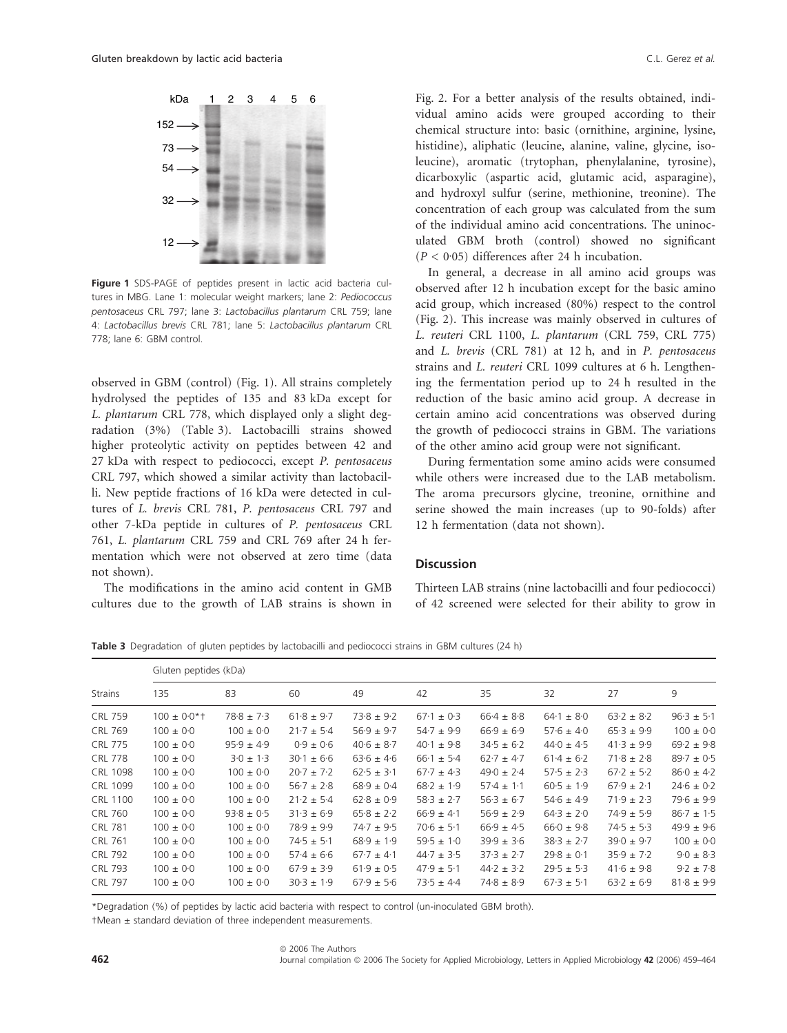

Figure 1 SDS-PAGE of peptides present in lactic acid bacteria cultures in MBG. Lane 1: molecular weight markers; lane 2: Pediococcus pentosaceus CRL 797; lane 3: Lactobacillus plantarum CRL 759; lane 4: Lactobacillus brevis CRL 781; lane 5: Lactobacillus plantarum CRL 778; lane 6: GBM control.

observed in GBM (control) (Fig. 1). All strains completely hydrolysed the peptides of 135 and 83 kDa except for L. plantarum CRL 778, which displayed only a slight degradation (3%) (Table 3). Lactobacilli strains showed higher proteolytic activity on peptides between 42 and 27 kDa with respect to pediococci, except P. pentosaceus CRL 797, which showed a similar activity than lactobacilli. New peptide fractions of 16 kDa were detected in cultures of L. brevis CRL 781, P. pentosaceus CRL 797 and other 7-kDa peptide in cultures of P. pentosaceus CRL 761, L. plantarum CRL 759 and CRL 769 after 24 h fermentation which were not observed at zero time (data not shown).

The modifications in the amino acid content in GMB cultures due to the growth of LAB strains is shown in

Fig. 2. For a better analysis of the results obtained, individual amino acids were grouped according to their chemical structure into: basic (ornithine, arginine, lysine, histidine), aliphatic (leucine, alanine, valine, glycine, isoleucine), aromatic (trytophan, phenylalanine, tyrosine), dicarboxylic (aspartic acid, glutamic acid, asparagine), and hydroxyl sulfur (serine, methionine, treonine). The concentration of each group was calculated from the sum of the individual amino acid concentrations. The uninoculated GBM broth (control) showed no significant ( $P < 0.05$ ) differences after 24 h incubation.

In general, a decrease in all amino acid groups was observed after 12 h incubation except for the basic amino acid group, which increased (80%) respect to the control (Fig. 2). This increase was mainly observed in cultures of L. reuteri CRL 1100, L. plantarum (CRL 759, CRL 775) and L. brevis (CRL 781) at 12 h, and in P. pentosaceus strains and L. reuteri CRL 1099 cultures at 6 h. Lengthening the fermentation period up to 24 h resulted in the reduction of the basic amino acid group. A decrease in certain amino acid concentrations was observed during the growth of pediococci strains in GBM. The variations of the other amino acid group were not significant.

During fermentation some amino acids were consumed while others were increased due to the LAB metabolism. The aroma precursors glycine, treonine, ornithine and serine showed the main increases (up to 90-folds) after 12 h fermentation (data not shown).

# **Discussion**

Thirteen LAB strains (nine lactobacilli and four pediococci) of 42 screened were selected for their ability to grow in

Table 3 Degradation of gluten peptides by lactobacilli and pediococci strains in GBM cultures (24 h)

|                 | Gluten peptides (kDa) |                |                |                |                |                |                |                |                |
|-----------------|-----------------------|----------------|----------------|----------------|----------------|----------------|----------------|----------------|----------------|
| <b>Strains</b>  | 135                   | 83             | 60             | 49             | 42             | 35             | 32             | 27             | 9              |
| <b>CRL 759</b>  | $100 \pm 0.0*$ †      | $78.8 \pm 7.3$ | $61.8 \pm 9.7$ | $73.8 \pm 9.2$ | $67.1 \pm 0.3$ | $66.4 \pm 8.8$ | $64.1 \pm 8.0$ | $63.2 \pm 8.2$ | $96.3 \pm 5.1$ |
| <b>CRL 769</b>  | $100 \pm 0.0$         | $100 \pm 0.0$  | $21.7 \pm 5.4$ | $56.9 \pm 9.7$ | $54.7 \pm 9.9$ | $66.9 \pm 6.9$ | $57.6 \pm 4.0$ | $65.3 \pm 9.9$ | $100 \pm 0.0$  |
| <b>CRL 775</b>  | $100 \pm 0.0$         | $95.9 \pm 4.9$ | $0.9 \pm 0.6$  | $40.6 \pm 8.7$ | $40.1 \pm 9.8$ | $34.5 \pm 6.2$ | $440 \pm 4.5$  | $41.3 \pm 9.9$ | $69.2 \pm 9.8$ |
| <b>CRL 778</b>  | $100 \pm 0.0$         | $3.0 \pm 1.3$  | $30.1 \pm 6.6$ | $63.6 \pm 4.6$ | $66.1 \pm 5.4$ | $62.7 \pm 4.7$ | $61.4 \pm 6.2$ | $71.8 \pm 2.8$ | $89.7 \pm 0.5$ |
| CRL 1098        | $100 \pm 0.0$         | $100 \pm 0.0$  | $20.7 \pm 7.2$ | $62.5 \pm 3.1$ | $67.7 \pm 4.3$ | $49.0 \pm 2.4$ | $57.5 \pm 2.3$ | $67.2 \pm 5.2$ | $86.0 \pm 4.2$ |
| CRL 1099        | $100 \pm 0.0$         | $100 \pm 0.0$  | $56.7 \pm 2.8$ | $68.9 \pm 0.4$ | $68.2 \pm 1.9$ | $57.4 \pm 1.1$ | $60.5 \pm 1.9$ | $67.9 \pm 2.1$ | $24.6 \pm 0.2$ |
| <b>CRL 1100</b> | $100 \pm 0.0$         | $100 \pm 0.0$  | $21.2 \pm 5.4$ | $62.8 \pm 0.9$ | $58.3 \pm 2.7$ | $56.3 \pm 6.7$ | $54.6 \pm 4.9$ | $71.9 \pm 2.3$ | $79.6 \pm 9.9$ |
| <b>CRL 760</b>  | $100 \pm 0.0$         | $93.8 \pm 0.5$ | $31.3 \pm 6.9$ | $65.8 \pm 2.2$ | $66.9 \pm 4.1$ | $56.9 \pm 2.9$ | $64.3 \pm 2.0$ | $74.9 \pm 5.9$ | $86.7 \pm 1.5$ |
| <b>CRL 781</b>  | $100 \pm 0.0$         | $100 \pm 0.0$  | $78.9 \pm 9.9$ | $74.7 \pm 9.5$ | $70.6 \pm 5.1$ | $66.9 \pm 4.5$ | $66.0 \pm 9.8$ | $74.5 \pm 5.3$ | $49.9 \pm 9.6$ |
| <b>CRL 761</b>  | $100 \pm 0.0$         | $100 \pm 0.0$  | $74.5 \pm 5.1$ | $68.9 \pm 1.9$ | $59.5 \pm 1.0$ | $39.9 \pm 3.6$ | $38.3 \pm 2.7$ | $39.0 \pm 9.7$ | $100 \pm 0.0$  |
| <b>CRL 792</b>  | $100 \pm 0.0$         | $100 \pm 0.0$  | $57.4 \pm 6.6$ | $67.7 \pm 4.1$ | $44.7 \pm 3.5$ | $37.3 \pm 2.7$ | $29.8 \pm 0.1$ | $35.9 \pm 7.2$ | $9.0 \pm 8.3$  |
| <b>CRL 793</b>  | $100 \pm 0.0$         | $100 \pm 0.0$  | $67.9 \pm 3.9$ | $61.9 \pm 0.5$ | $47.9 \pm 5.1$ | $44.2 \pm 3.2$ | $29.5 \pm 5.3$ | $41.6 \pm 9.8$ | $9.2 \pm 7.8$  |
| <b>CRL 797</b>  | $100 \pm 0.0$         | $100 \pm 0.0$  | $30.3 \pm 1.9$ | $67.9 \pm 5.6$ | $73.5 \pm 4.4$ | $74.8 \pm 8.9$ | $67.3 \pm 5.1$ | $63.2 \pm 6.9$ | $81.8 \pm 9.9$ |

\*Degradation (%) of peptides by lactic acid bacteria with respect to control (un-inoculated GBM broth).

†Mean ± standard deviation of three independent measurements.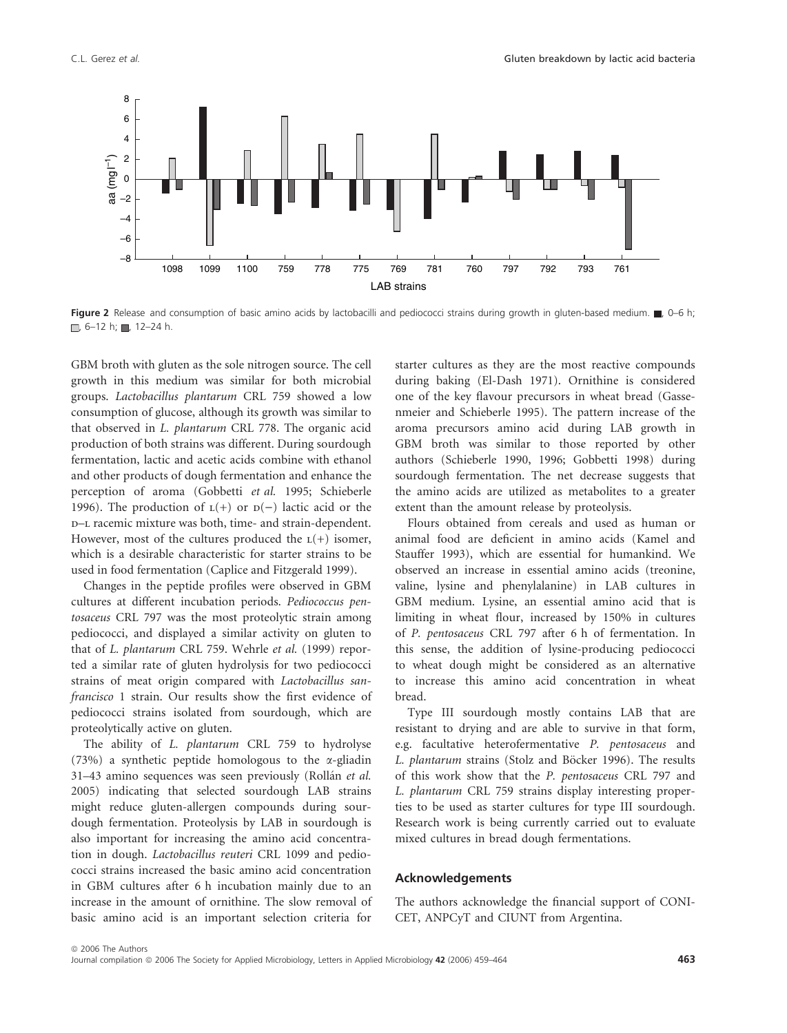

Figure 2 Release and consumption of basic amino acids by lactobacilli and pediococci strains during growth in gluten-based medium.  $\Box$ , 0–6 h;  $\Box$ , 6-12 h; , 12-24 h.

GBM broth with gluten as the sole nitrogen source. The cell growth in this medium was similar for both microbial groups. Lactobacillus plantarum CRL 759 showed a low consumption of glucose, although its growth was similar to that observed in L. plantarum CRL 778. The organic acid production of both strains was different. During sourdough fermentation, lactic and acetic acids combine with ethanol and other products of dough fermentation and enhance the perception of aroma (Gobbetti et al. 1995; Schieberle 1996). The production of  $L(+)$  or  $D(-)$  lactic acid or the d–l racemic mixture was both, time- and strain-dependent. However, most of the cultures produced the  $L(+)$  isomer, which is a desirable characteristic for starter strains to be used in food fermentation (Caplice and Fitzgerald 1999).

Changes in the peptide profiles were observed in GBM cultures at different incubation periods. Pediococcus pentosaceus CRL 797 was the most proteolytic strain among pediococci, and displayed a similar activity on gluten to that of L. plantarum CRL 759. Wehrle et al. (1999) reported a similar rate of gluten hydrolysis for two pediococci strains of meat origin compared with Lactobacillus sanfrancisco 1 strain. Our results show the first evidence of pediococci strains isolated from sourdough, which are proteolytically active on gluten.

The ability of L. plantarum CRL 759 to hydrolyse (73%) a synthetic peptide homologous to the  $\alpha$ -gliadin 31–43 amino sequences was seen previously (Rollán et al. 2005) indicating that selected sourdough LAB strains might reduce gluten-allergen compounds during sourdough fermentation. Proteolysis by LAB in sourdough is also important for increasing the amino acid concentration in dough. Lactobacillus reuteri CRL 1099 and pediococci strains increased the basic amino acid concentration in GBM cultures after 6 h incubation mainly due to an increase in the amount of ornithine. The slow removal of basic amino acid is an important selection criteria for starter cultures as they are the most reactive compounds during baking (El-Dash 1971). Ornithine is considered one of the key flavour precursors in wheat bread (Gassenmeier and Schieberle 1995). The pattern increase of the aroma precursors amino acid during LAB growth in GBM broth was similar to those reported by other authors (Schieberle 1990, 1996; Gobbetti 1998) during sourdough fermentation. The net decrease suggests that the amino acids are utilized as metabolites to a greater extent than the amount release by proteolysis.

Flours obtained from cereals and used as human or animal food are deficient in amino acids (Kamel and Stauffer 1993), which are essential for humankind. We observed an increase in essential amino acids (treonine, valine, lysine and phenylalanine) in LAB cultures in GBM medium. Lysine, an essential amino acid that is limiting in wheat flour, increased by 150% in cultures of P. pentosaceus CRL 797 after 6 h of fermentation. In this sense, the addition of lysine-producing pediococci to wheat dough might be considered as an alternative to increase this amino acid concentration in wheat bread.

Type III sourdough mostly contains LAB that are resistant to drying and are able to survive in that form, e.g. facultative heterofermentative P. pentosaceus and L. plantarum strains (Stolz and Böcker 1996). The results of this work show that the P. pentosaceus CRL 797 and L. plantarum CRL 759 strains display interesting properties to be used as starter cultures for type III sourdough. Research work is being currently carried out to evaluate mixed cultures in bread dough fermentations.

## Acknowledgements

The authors acknowledge the financial support of CONI-CET, ANPCyT and CIUNT from Argentina.